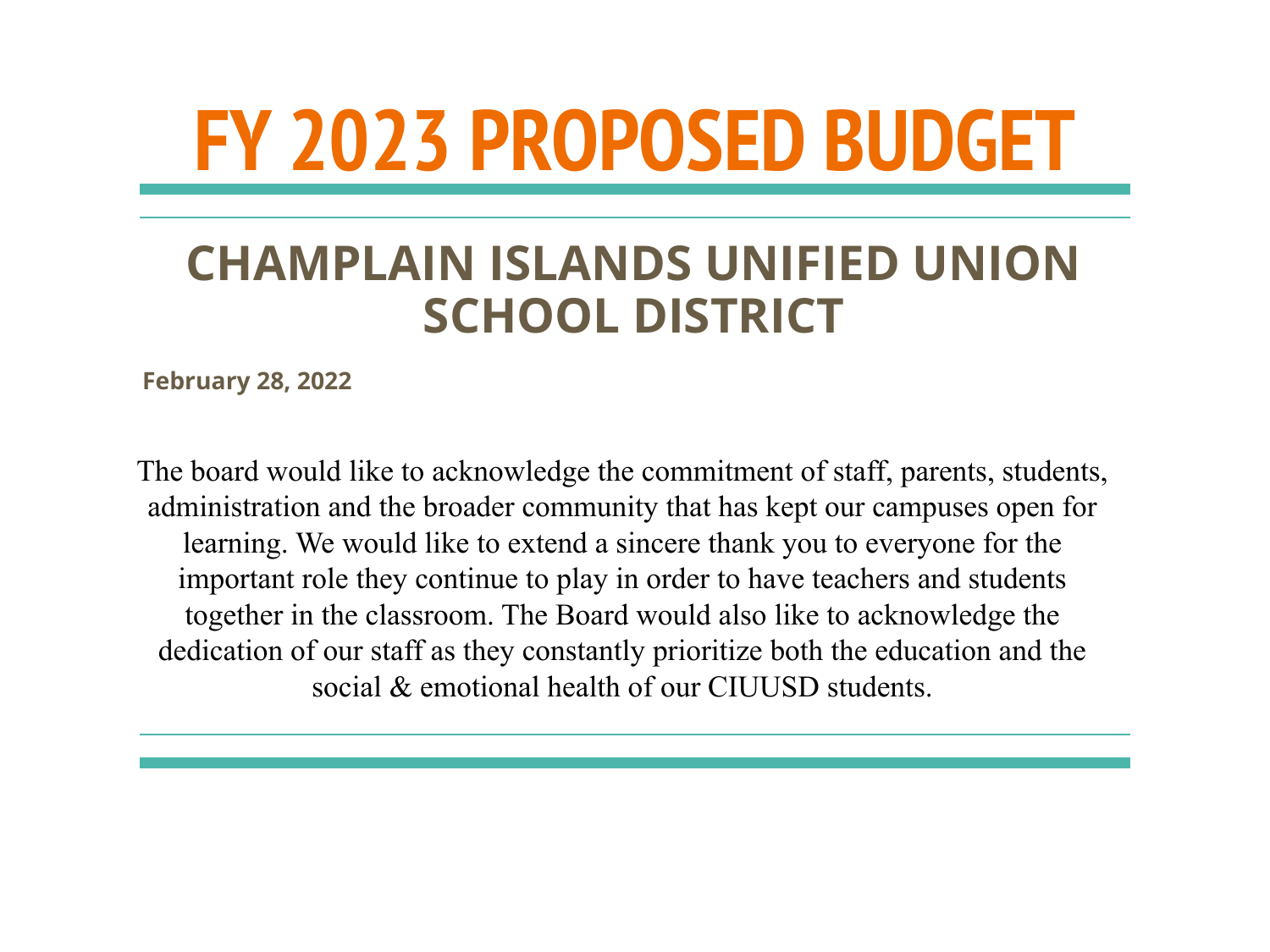# **FY 2023 PROPOSED BUDGET**

### **CHAMPLAIN ISLANDS UNIFIED UNION SCHOOL DISTRICT**

**February 28, 2022**

The board would like to acknowledge the commitment of staff, parents, students, administration and the broader community that has kept our campuses open for learning. We would like to extend a sincere thank you to everyone for the important role they continue to play in order to have teachers and students together in the classroom. The Board would also like to acknowledge the dedication of our staff as they constantly prioritize both the education and the social & emotional health of our CIUUSD students.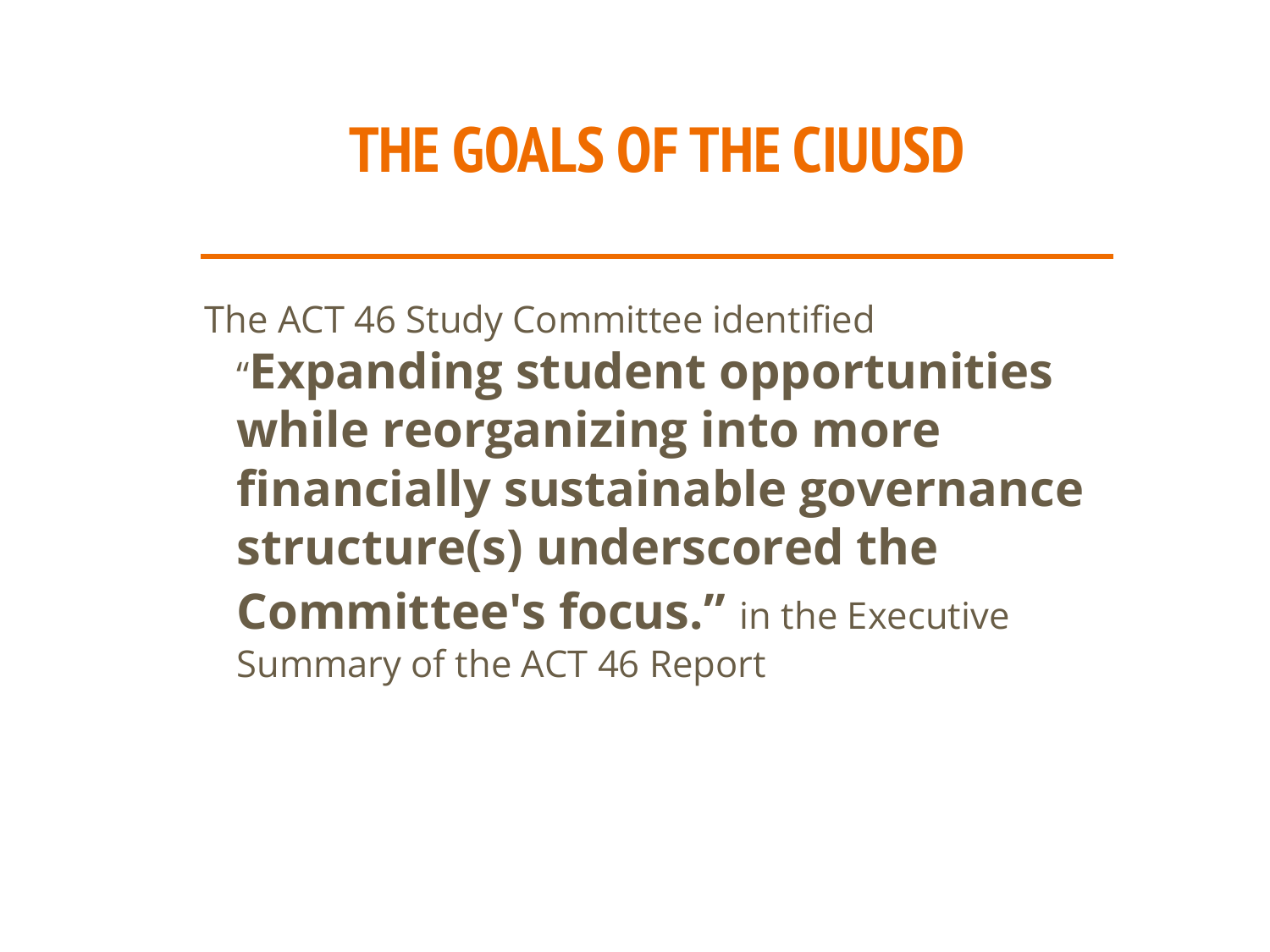## **THE GOALS OF THE CIUUSD**

The ACT 46 Study Committee identified "**Expanding student opportunities while reorganizing into more financially sustainable governance structure(s) underscored the Committee's focus."** in the Executive Summary of the ACT 46 Report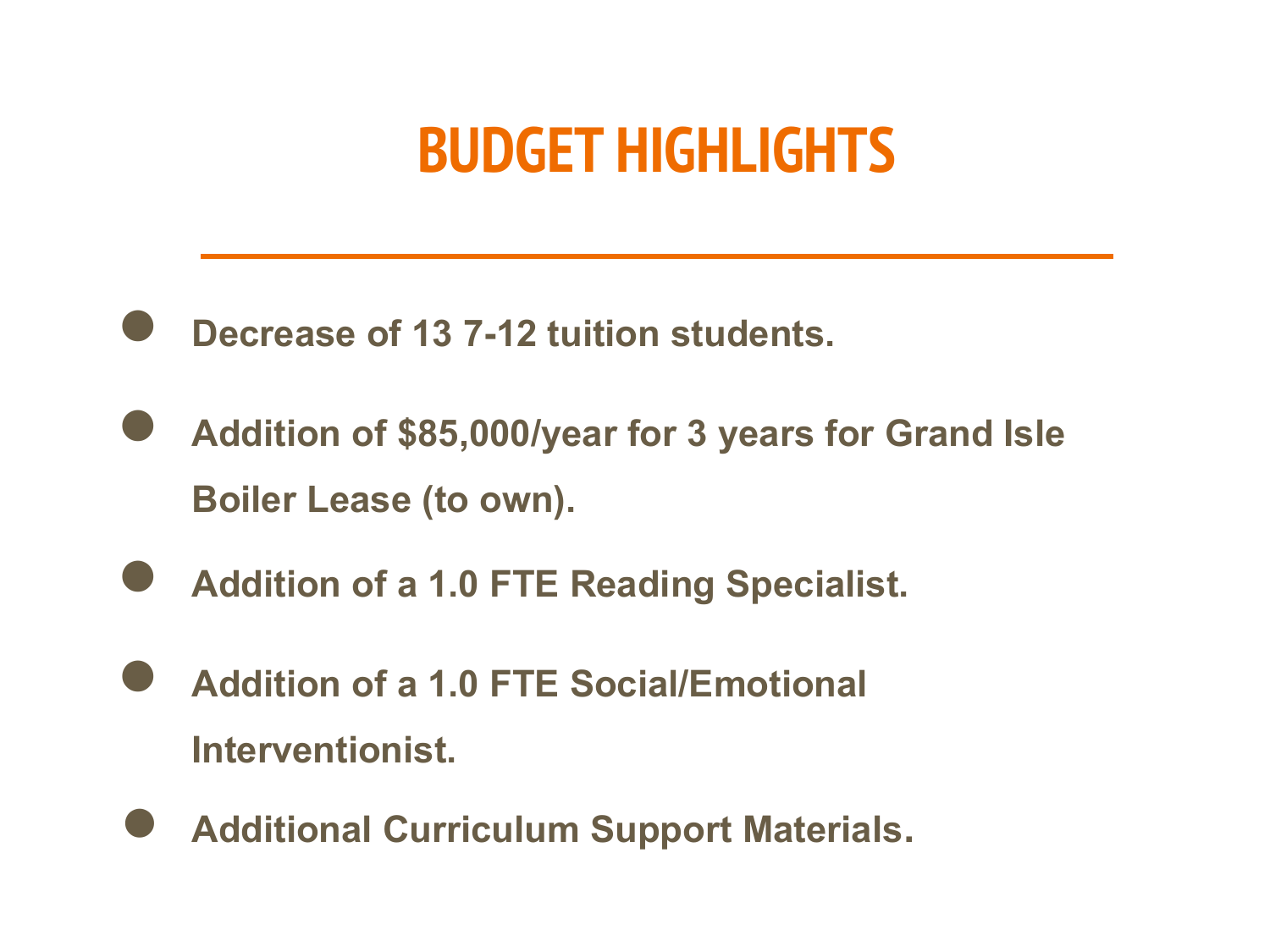### **BUDGET HIGHLIGHTS**

- **Decrease of 13 7-12 tuition students.**
- **Addition of \$85,000/year for 3 years for Grand Isle Boiler Lease (to own).**
- **Addition of a 1.0 FTE Reading Specialist.**
- **Addition of a 1.0 FTE Social/Emotional Interventionist.**
- **Additional Curriculum Support Materials.**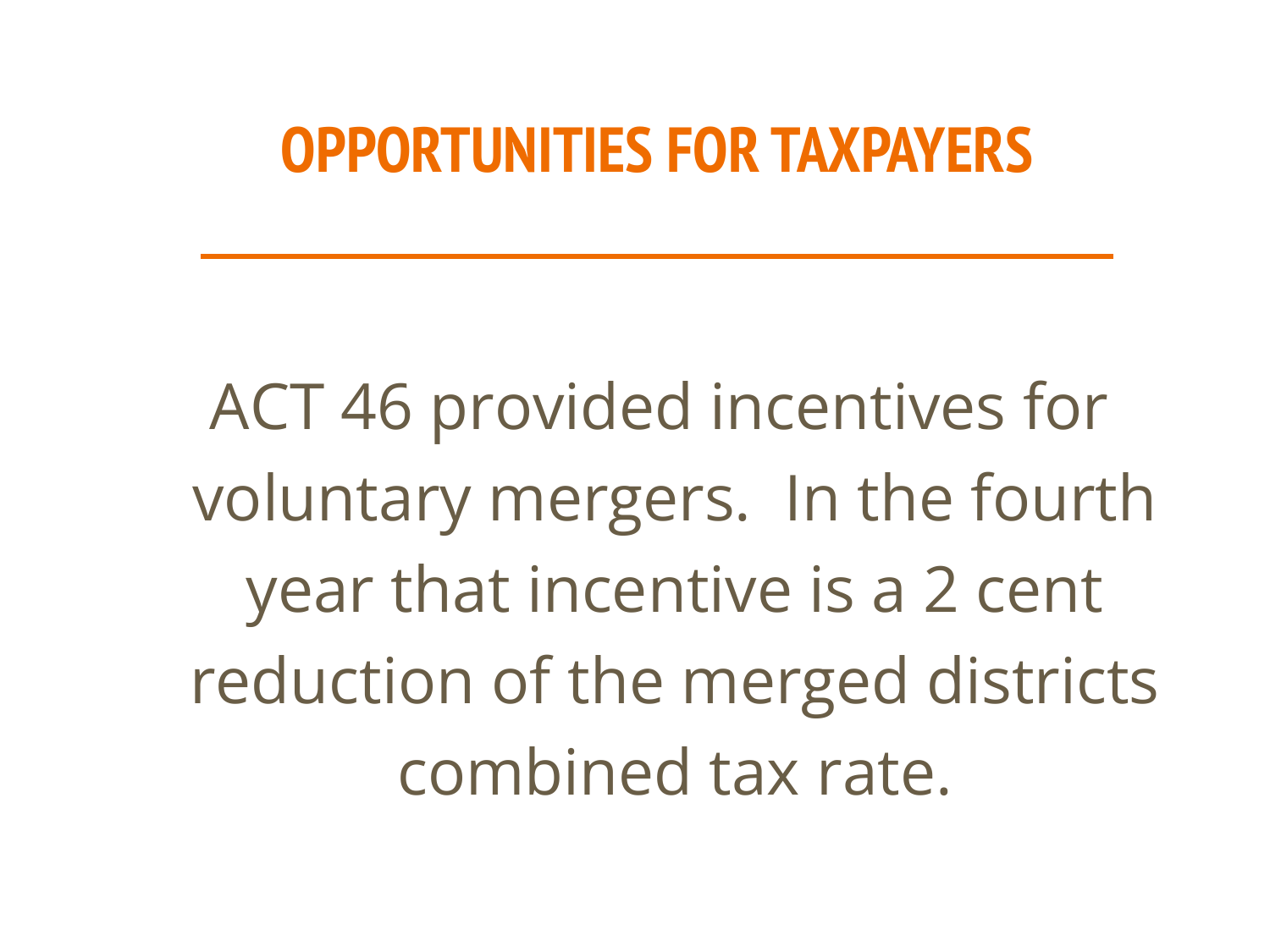### **OPPORTUNITIES FOR TAXPAYERS**

ACT 46 provided incentives for voluntary mergers. In the fourth year that incentive is a 2 cent reduction of the merged districts combined tax rate.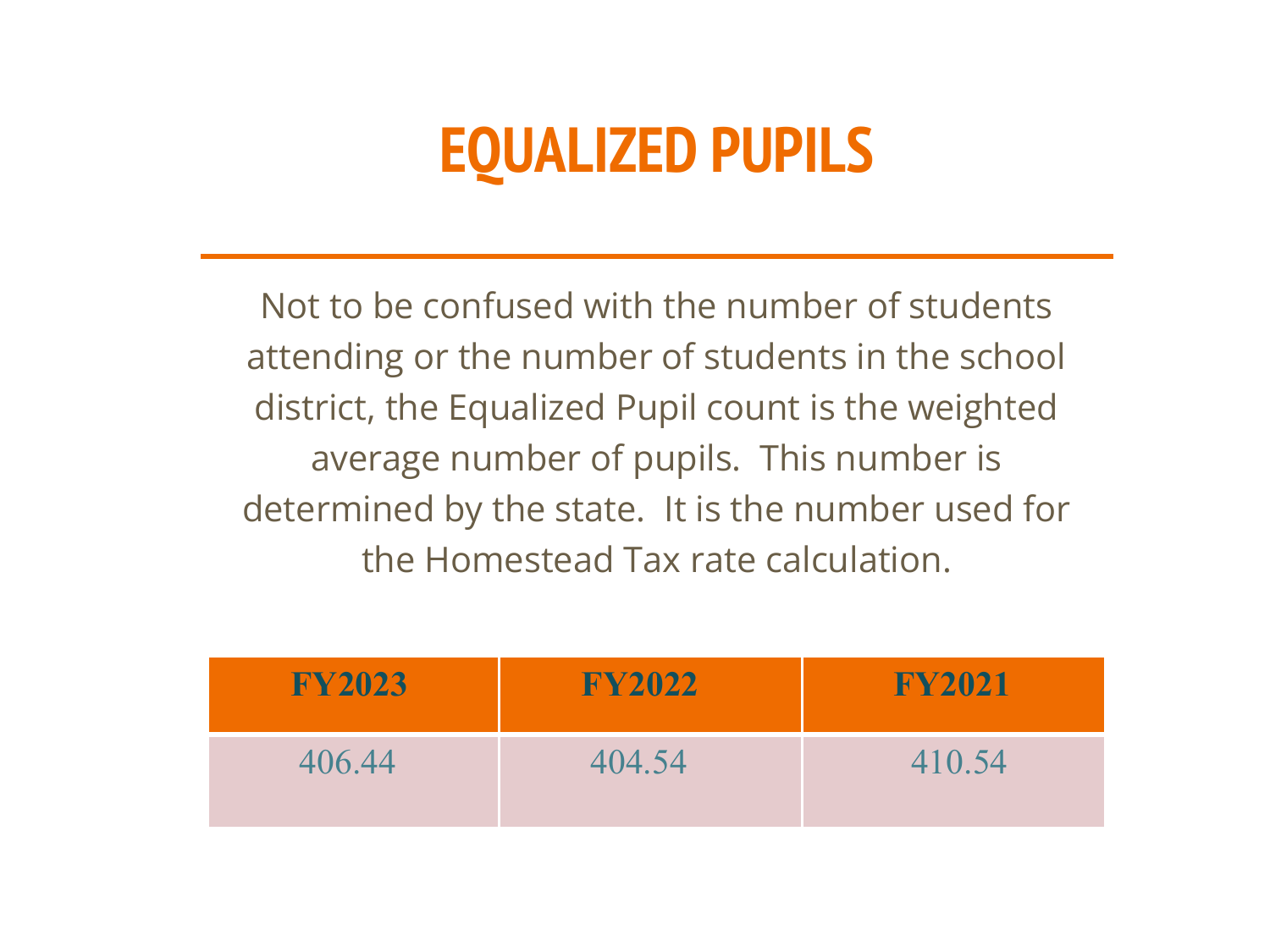# **EQUALIZED PUPILS**

Not to be confused with the number of students attending or the number of students in the school district, the Equalized Pupil count is the weighted average number of pupils. This number is determined by the state. It is the number used for the Homestead Tax rate calculation.

| <b>FY2023</b> | <b>FY2022</b> | <b>FY2021</b> |
|---------------|---------------|---------------|
| 406.44        | 404.54        | 410.54        |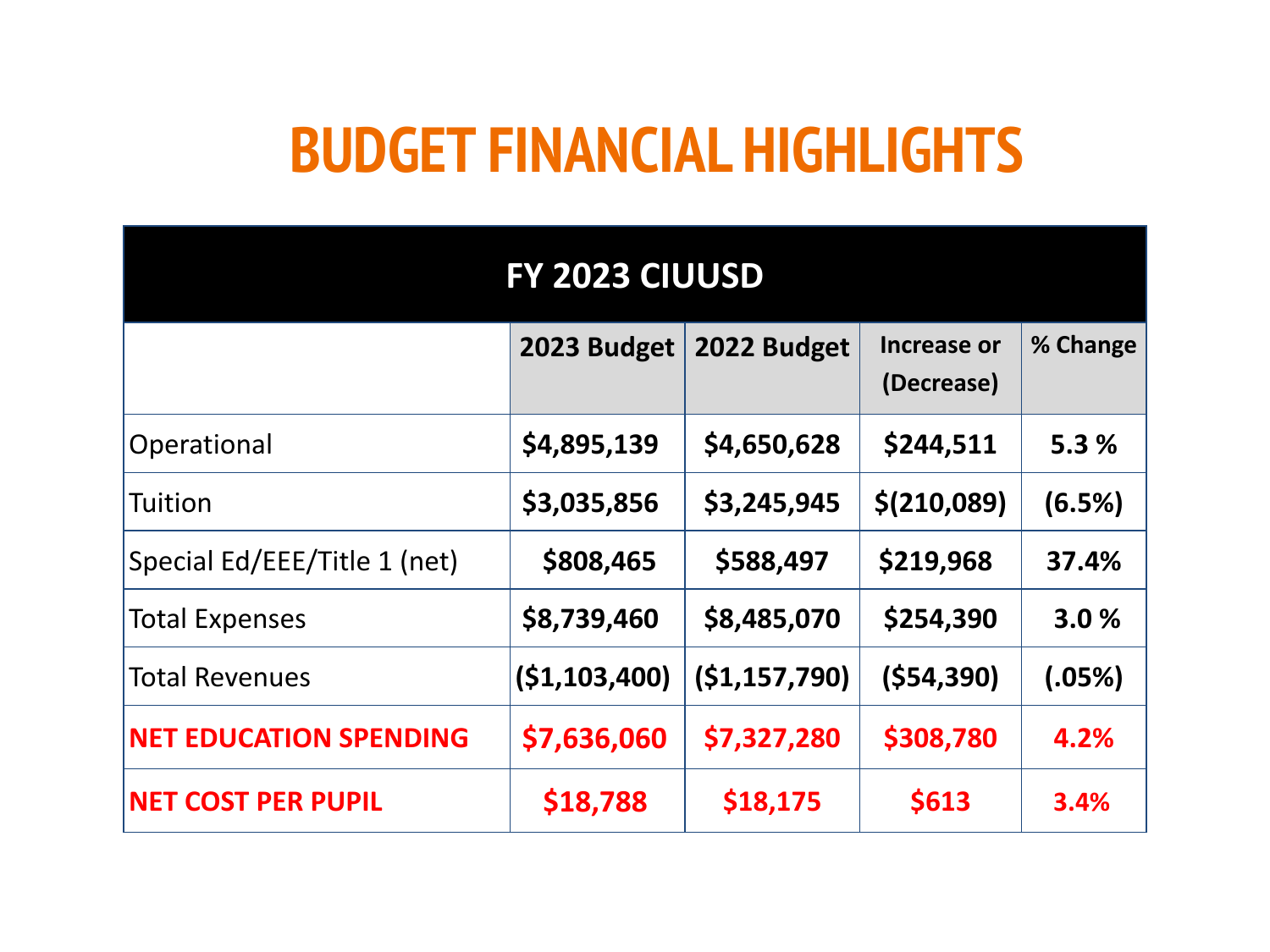### **BUDGET FINANCIAL HIGHLIGHTS**

| FY 2023 CIUUSD                |                |                |                           |          |  |
|-------------------------------|----------------|----------------|---------------------------|----------|--|
|                               | 2023 Budget    | 2022 Budget    | Increase or<br>(Decrease) | % Change |  |
| Operational                   | \$4,895,139    | \$4,650,628    | \$244,511                 | 5.3%     |  |
| Tuition                       | \$3,035,856    | \$3,245,945    | \$(210,089)               | (6.5%)   |  |
| Special Ed/EEE/Title 1 (net)  | \$808,465      | \$588,497      | \$219,968                 | 37.4%    |  |
| <b>Total Expenses</b>         | \$8,739,460    | \$8,485,070    | \$254,390                 | 3.0%     |  |
| <b>Total Revenues</b>         | ( \$1,103,400) | (51, 157, 790) | (554, 390)                | (.05%)   |  |
| <b>NET EDUCATION SPENDING</b> | \$7,636,060    | \$7,327,280    | \$308,780                 | 4.2%     |  |
| <b>NET COST PER PUPIL</b>     | \$18,788       | \$18,175       | \$613                     | 3.4%     |  |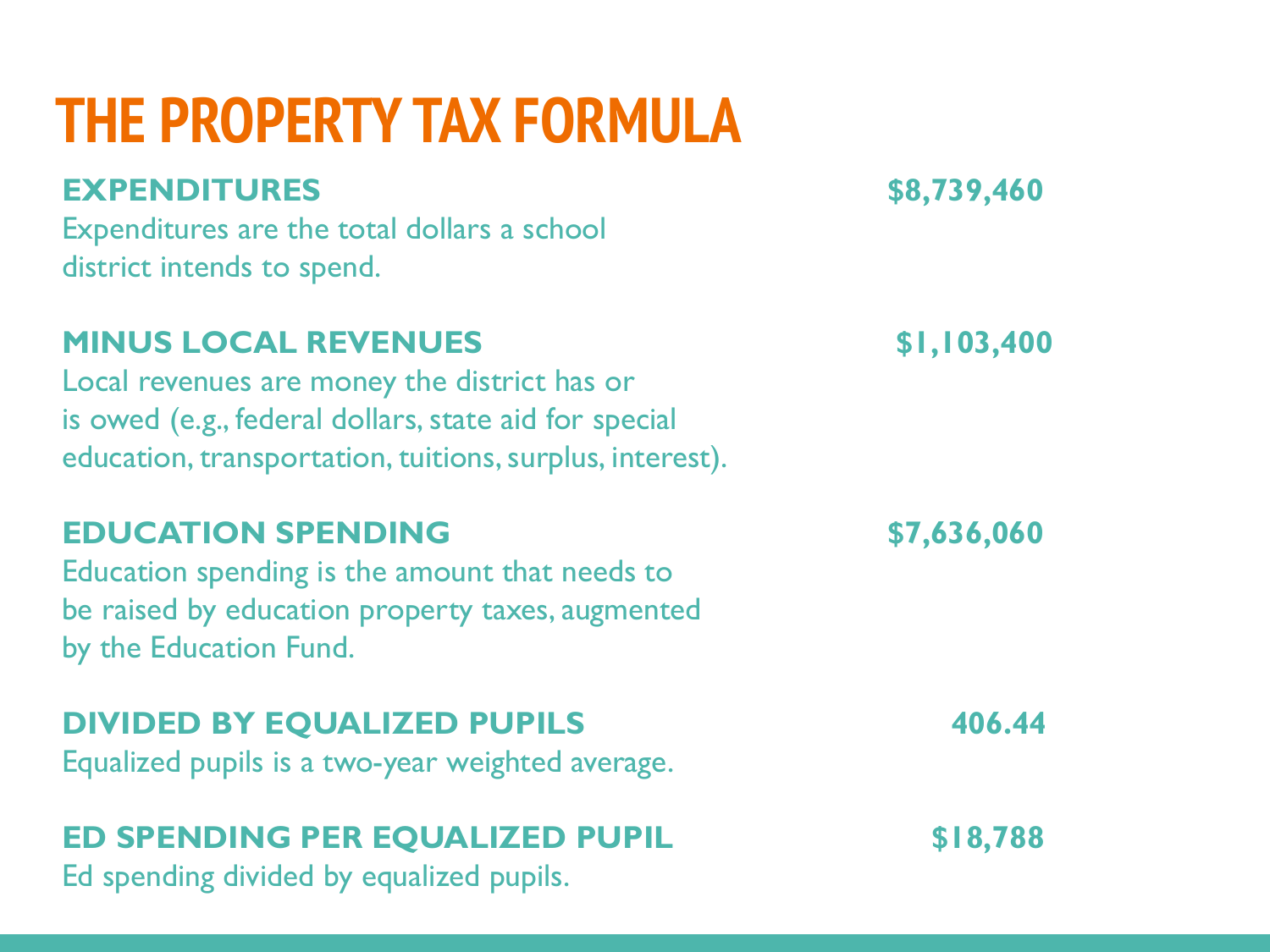# **THE PROPERTY TAX FORMULA**

### **EXPENDITURES \$8,739,460**

Expenditures are the total dollars a school district intends to spend.

### **MINUS LOCAL REVENUES \$1,103,400**

Local revenues are money the district has or is owed (e.g., federal dollars, state aid for special education, transportation, tuitions, surplus, interest).

### **EDUCATION SPENDING \$7,636,060**

Education spending is the amount that needs to be raised by education property taxes, augmented by the Education Fund.

#### **DIVIDED BY EQUALIZED PUPILS 406.44**

Equalized pupils is a two-year weighted average.

### **ED SPENDING PER EQUALIZED PUPIL \$18,788**

Ed spending divided by equalized pupils.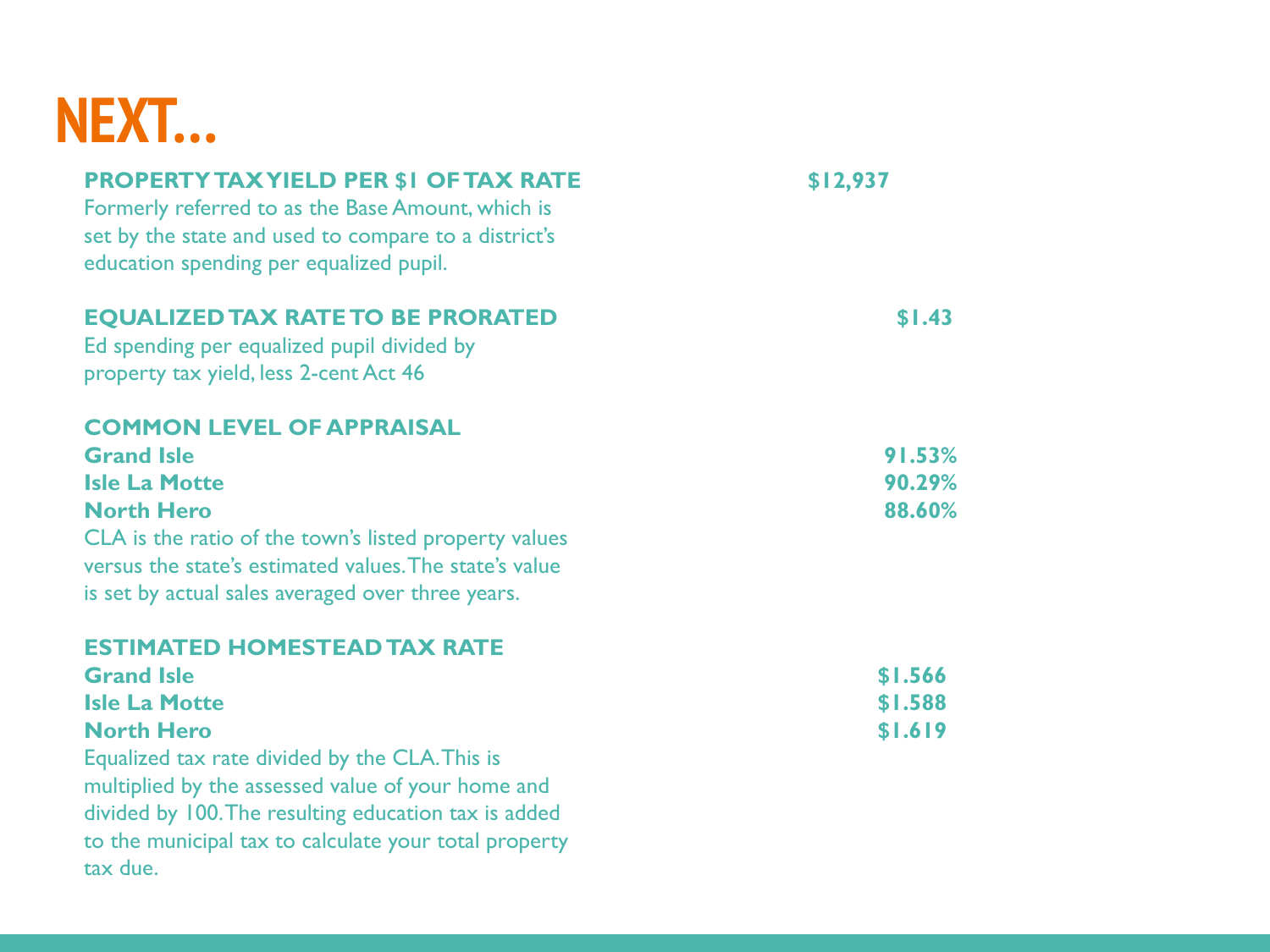### **NEXT…**

| <b>PROPERTY TAX YIELD PER \$1 OF TAX RATE</b><br>Formerly referred to as the Base Amount, which is<br>set by the state and used to compare to a district's<br>education spending per equalized pupil.                            | \$12,937 |
|----------------------------------------------------------------------------------------------------------------------------------------------------------------------------------------------------------------------------------|----------|
| <b>EQUALIZED TAX RATE TO BE PRORATED</b><br>Ed spending per equalized pupil divided by<br>property tax yield, less 2-cent Act 46                                                                                                 | \$1.43   |
| <b>COMMON LEVEL OF APPRAISAL</b>                                                                                                                                                                                                 |          |
| <b>Grand Isle</b>                                                                                                                                                                                                                | 91.53%   |
| <b>Isle La Motte</b>                                                                                                                                                                                                             | 90.29%   |
| <b>North Hero</b>                                                                                                                                                                                                                | 88.60%   |
| CLA is the ratio of the town's listed property values<br>versus the state's estimated values. The state's value<br>is set by actual sales averaged over three years.                                                             |          |
| <b>ESTIMATED HOMESTEAD TAX RATE</b>                                                                                                                                                                                              |          |
| <b>Grand Isle</b>                                                                                                                                                                                                                | \$1.566  |
| <b>Isle La Motte</b>                                                                                                                                                                                                             | \$1.588  |
| <b>North Hero</b>                                                                                                                                                                                                                | \$1.619  |
| Equalized tax rate divided by the CLA. This is<br>multiplied by the assessed value of your home and<br>divided by 100. The resulting education tax is added<br>to the municipal tax to calculate your total property<br>tax due. |          |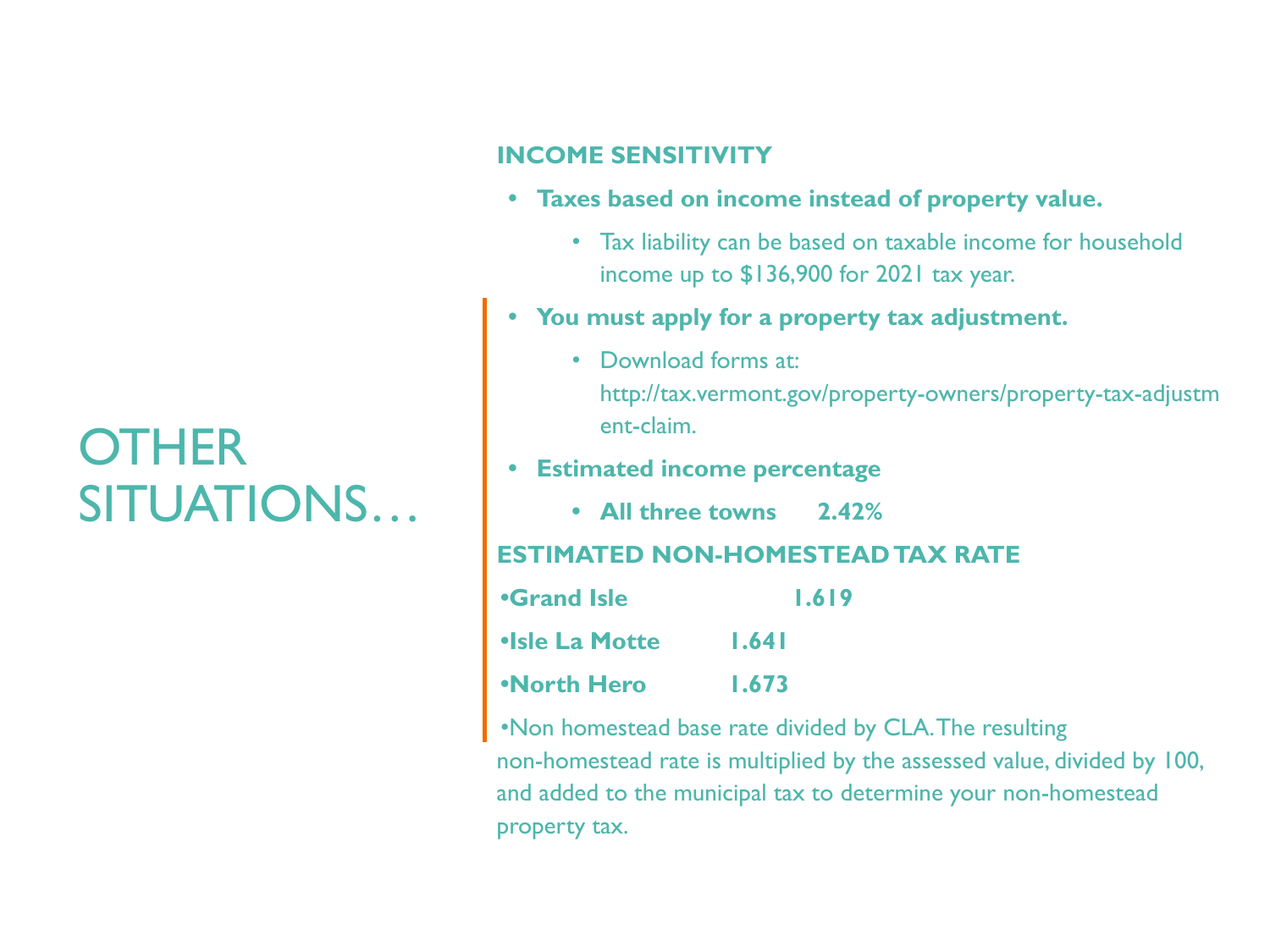### **OTHER** SITUATIONS…

#### **INCOME SENSITIVITY**

- **• Taxes based on income instead of property value.** 
	- Tax liability can be based on taxable income for household income up to \$136,900 for 2021 tax year.
- **• You must apply for a property tax adjustment.**
	- Download forms at: http://tax.vermont.gov/property-owners/property-tax-adjustm ent-claim.

#### **• Estimated income percentage**

**• All three towns 2.42%**

#### **ESTIMATED NON-HOMESTEAD TAX RATE**

| <b>•Grand Isle</b>    | <u>1.619</u> |
|-----------------------|--------------|
| <b>•Isle La Motte</b> | 1.641        |
| <b>•North Hero</b>    | 1.673        |

•Non homestead base rate divided by CLA. The resulting non-homestead rate is multiplied by the assessed value, divided by 100, and added to the municipal tax to determine your non-homestead property tax.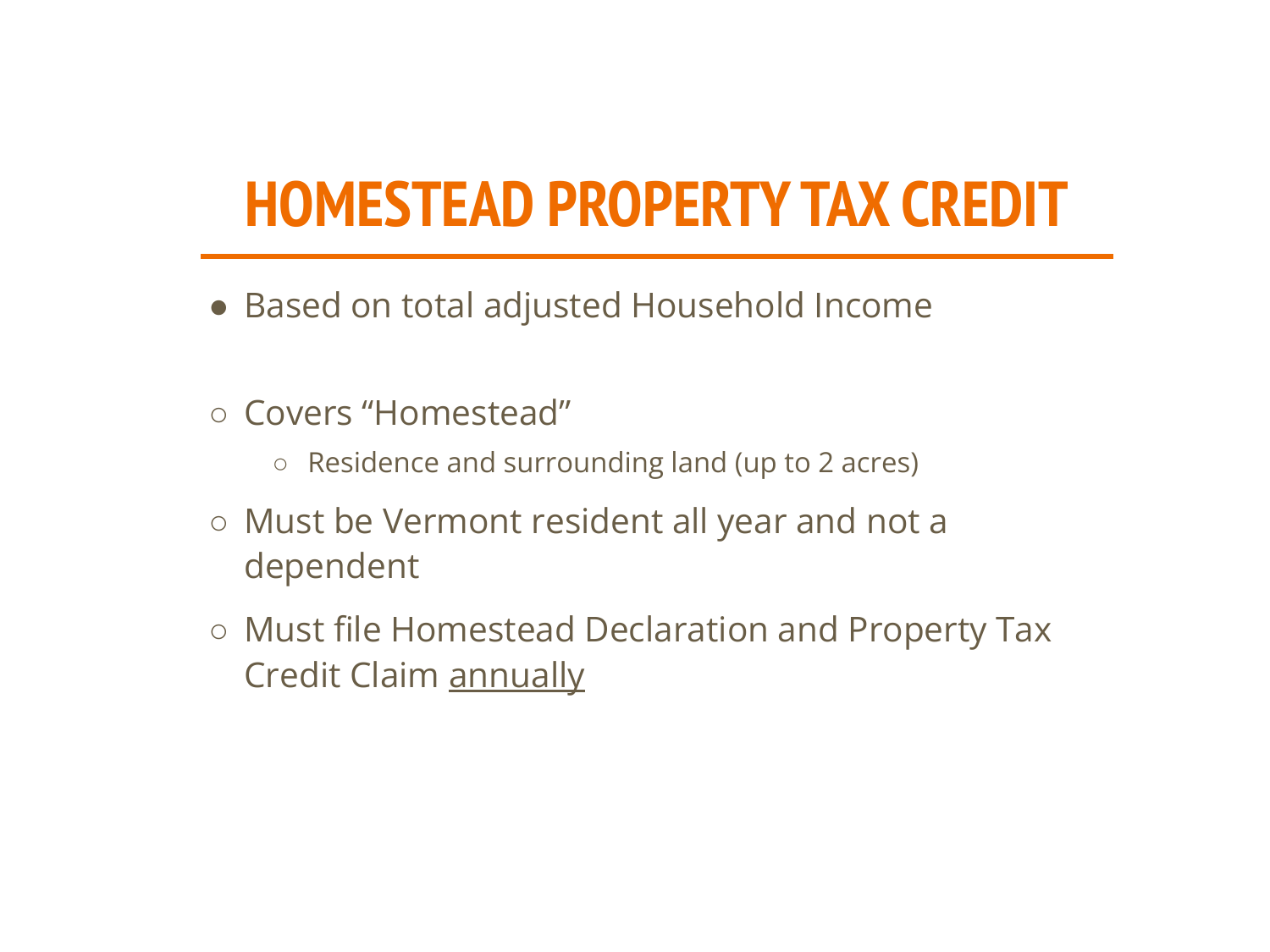# **HOMESTEAD PROPERTY TAX CREDIT**

- Based on total adjusted Household Income
- Covers "Homestead"
	- Residence and surrounding land (up to 2 acres)
- Must be Vermont resident all year and not a dependent
- Must file Homestead Declaration and Property Tax Credit Claim annually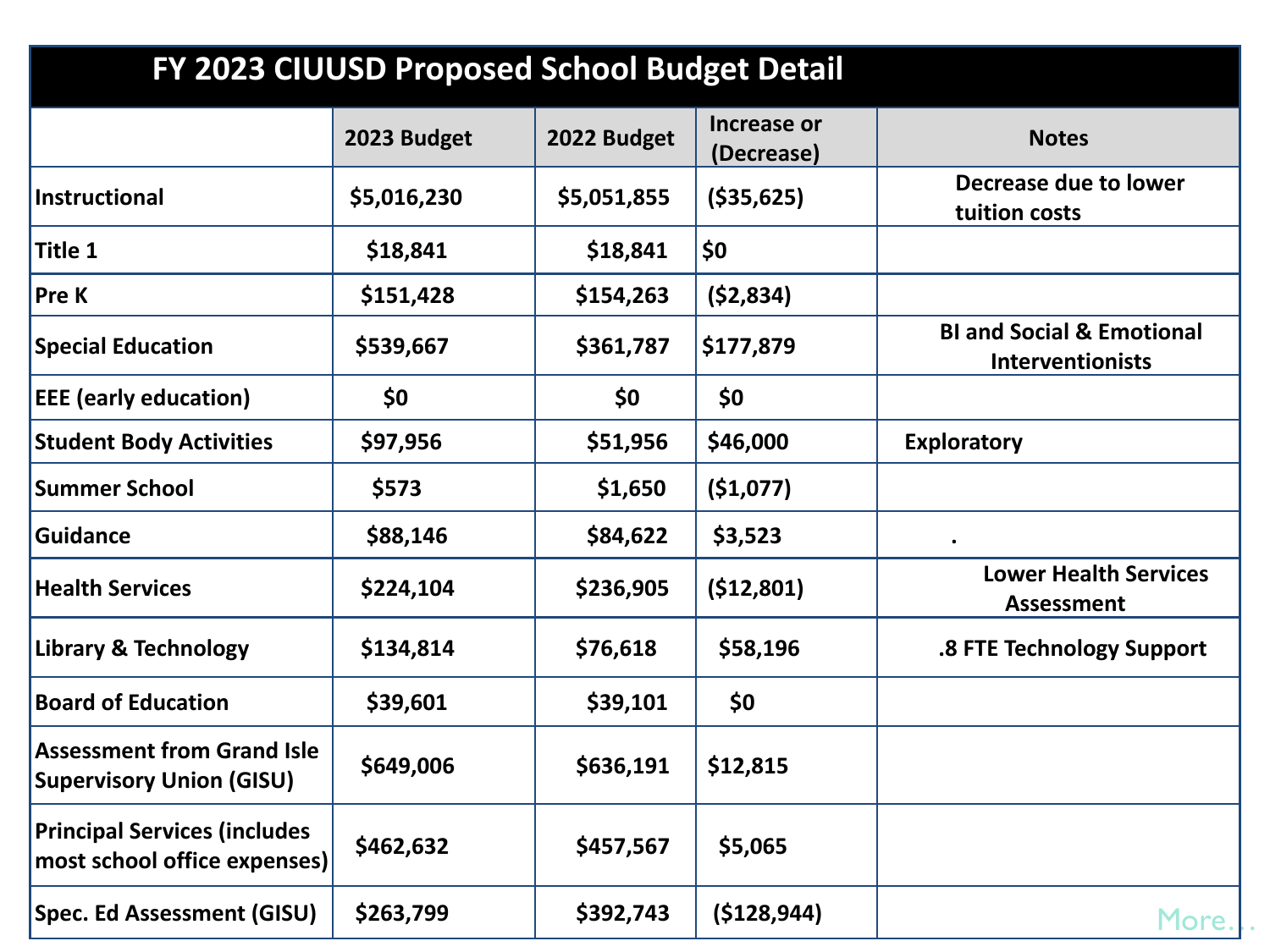| FY 2023 CIUUSD Proposed School Budget Detail                         |             |             |                                  |                                                                 |
|----------------------------------------------------------------------|-------------|-------------|----------------------------------|-----------------------------------------------------------------|
|                                                                      | 2023 Budget | 2022 Budget | <b>Increase or</b><br>(Decrease) | <b>Notes</b>                                                    |
| Instructional                                                        | \$5,016,230 | \$5,051,855 | ( \$35, 625)                     | Decrease due to lower<br>tuition costs                          |
| <b>Title 1</b>                                                       | \$18,841    | \$18,841    | \$0                              |                                                                 |
| Pre K                                                                | \$151,428   | \$154,263   | (52, 834)                        |                                                                 |
| <b>Special Education</b>                                             | \$539,667   | \$361,787   | \$177,879                        | <b>BI and Social &amp; Emotional</b><br><b>Interventionists</b> |
| <b>EEE</b> (early education)                                         | \$0         | \$0         | \$0                              |                                                                 |
| <b>Student Body Activities</b>                                       | \$97,956    | \$51,956    | \$46,000                         | <b>Exploratory</b>                                              |
| <b>Summer School</b>                                                 | \$573       | \$1,650     | (\$1,077)                        |                                                                 |
| <b>Guidance</b>                                                      | \$88,146    | \$84,622    | \$3,523                          |                                                                 |
| <b>Health Services</b>                                               | \$224,104   | \$236,905   | (512,801)                        | <b>Lower Health Services</b><br><b>Assessment</b>               |
| <b>Library &amp; Technology</b>                                      | \$134,814   | \$76,618    | \$58,196                         | .8 FTE Technology Support                                       |
| <b>Board of Education</b>                                            | \$39,601    | \$39,101    | \$0                              |                                                                 |
| <b>Assessment from Grand Isle</b><br><b>Supervisory Union (GISU)</b> | \$649,006   | \$636,191   | \$12,815                         |                                                                 |
| <b>Principal Services (includes</b><br>most school office expenses)  | \$462,632   | \$457,567   | \$5,065                          |                                                                 |
| <b>Spec. Ed Assessment (GISU)</b>                                    | \$263,799   | \$392,743   | (\$128,944)                      | More.                                                           |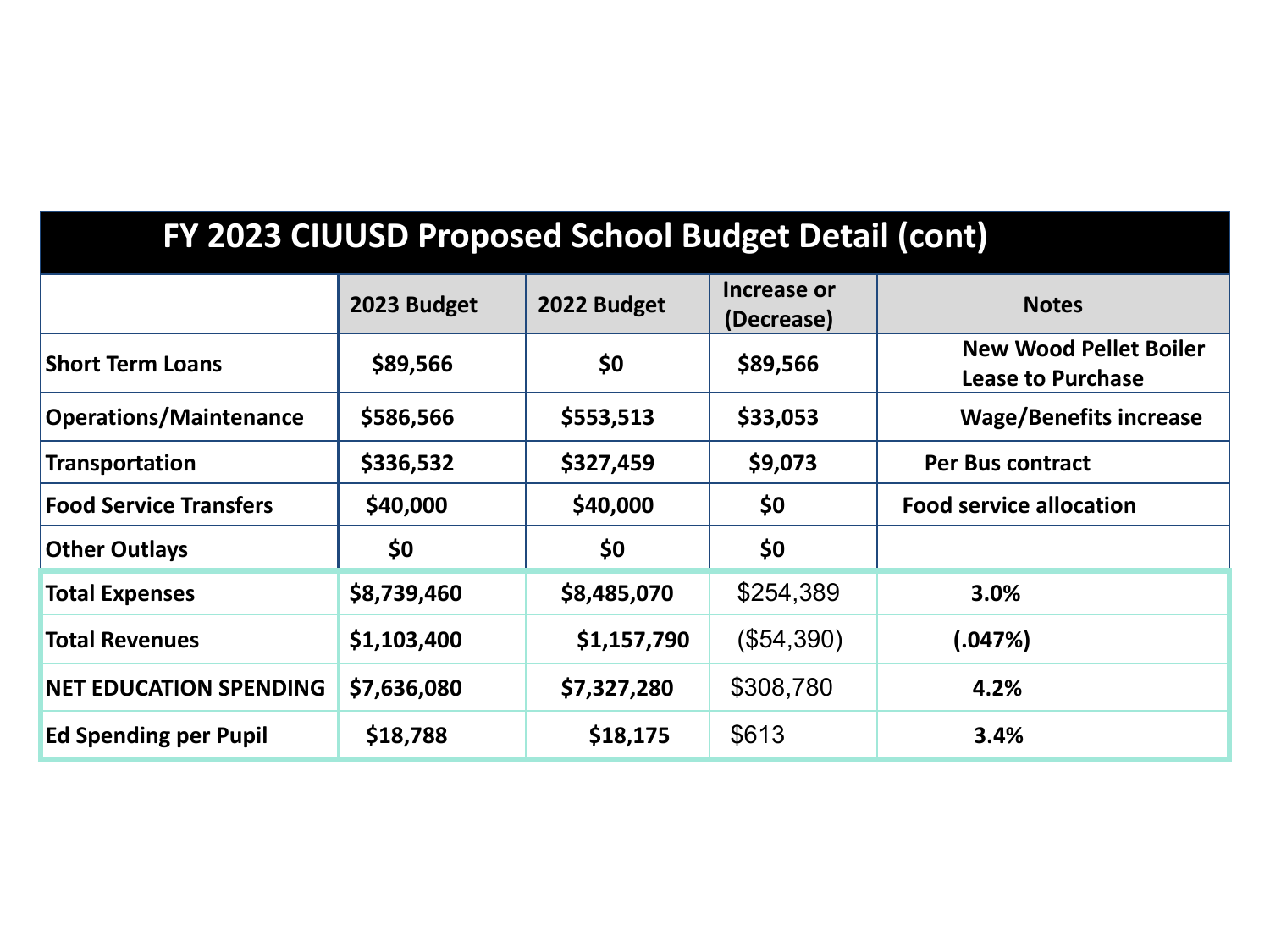### **FY 2023 CIUUSD Proposed School Budget Detail (cont)**

|                               | 2023 Budget | 2022 Budget | Increase or<br>(Decrease) | <b>Notes</b>                                              |
|-------------------------------|-------------|-------------|---------------------------|-----------------------------------------------------------|
| <b>Short Term Loans</b>       | \$89,566    | \$0         | \$89,566                  | <b>New Wood Pellet Boiler</b><br><b>Lease to Purchase</b> |
| <b>Operations/Maintenance</b> | \$586,566   | \$553,513   | \$33,053                  | <b>Wage/Benefits increase</b>                             |
| Transportation                | \$336,532   | \$327,459   | \$9,073                   | <b>Per Bus contract</b>                                   |
| <b>Food Service Transfers</b> | \$40,000    | \$40,000    | \$0                       | <b>Food service allocation</b>                            |
| <b>Other Outlays</b>          | \$0         | \$0         | \$0                       |                                                           |
| <b>Total Expenses</b>         | \$8,739,460 | \$8,485,070 | \$254,389                 | 3.0%                                                      |
| <b>Total Revenues</b>         | \$1,103,400 | \$1,157,790 | (\$54,390)                | (.047%)                                                   |
| <b>NET EDUCATION SPENDING</b> | \$7,636,080 | \$7,327,280 | \$308,780                 | 4.2%                                                      |
| <b>Ed Spending per Pupil</b>  | \$18,788    | \$18,175    | \$613                     | 3.4%                                                      |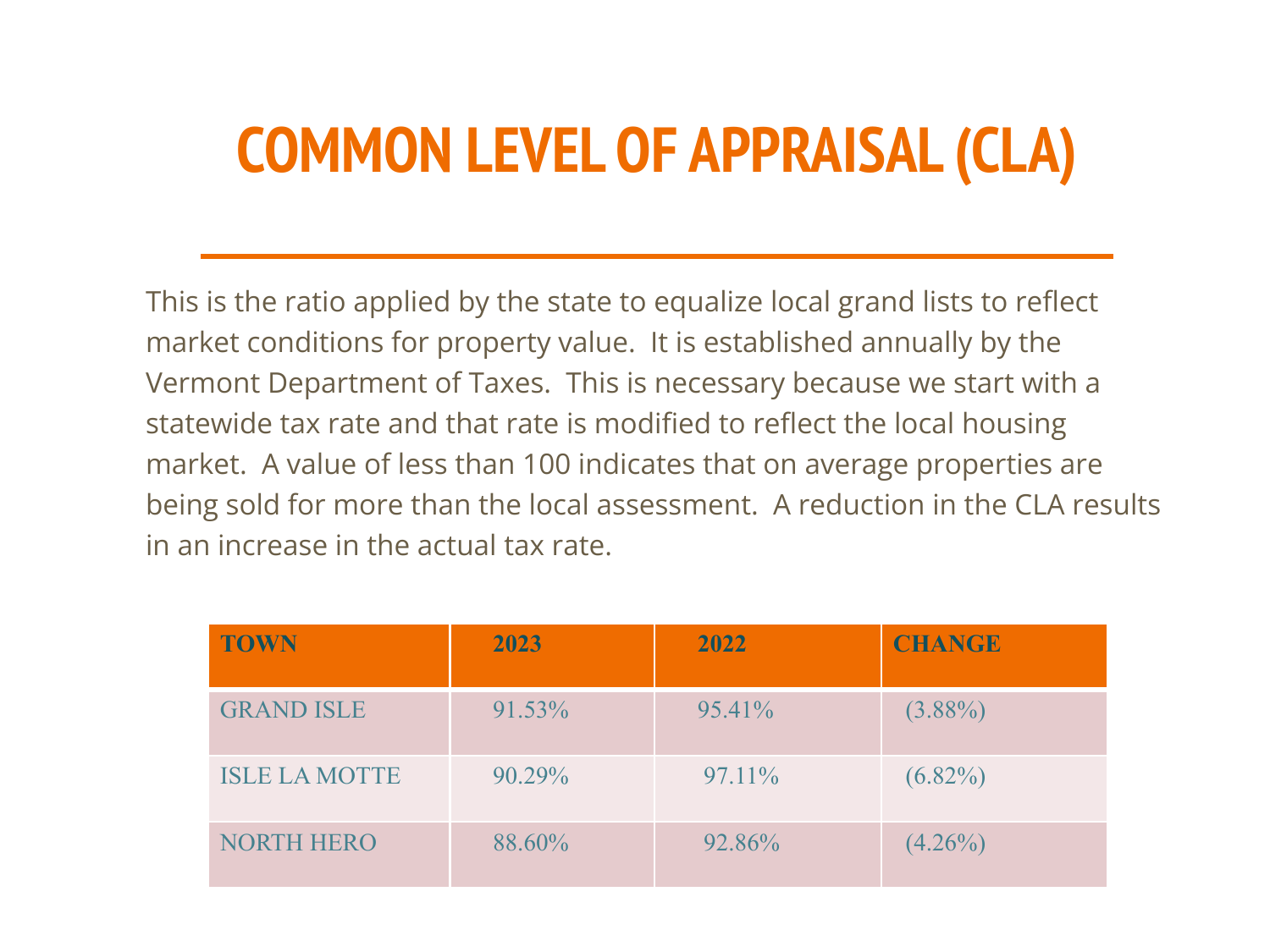# **COMMON LEVEL OF APPRAISAL (CLA)**

This is the ratio applied by the state to equalize local grand lists to reflect market conditions for property value. It is established annually by the Vermont Department of Taxes. This is necessary because we start with a statewide tax rate and that rate is modified to reflect the local housing market. A value of less than 100 indicates that on average properties are being sold for more than the local assessment. A reduction in the CLA results in an increase in the actual tax rate.

| <b>TOWN</b>          | 2023   | 2022      | <b>CHANGE</b> |
|----------------------|--------|-----------|---------------|
| <b>GRAND ISLE</b>    | 91.53% | $95.41\%$ | $(3.88\%)$    |
| <b>ISLE LA MOTTE</b> | 90.29% | 97.11%    | $(6.82\%)$    |
| <b>NORTH HERO</b>    | 88.60% | 92.86%    | $(4.26\%)$    |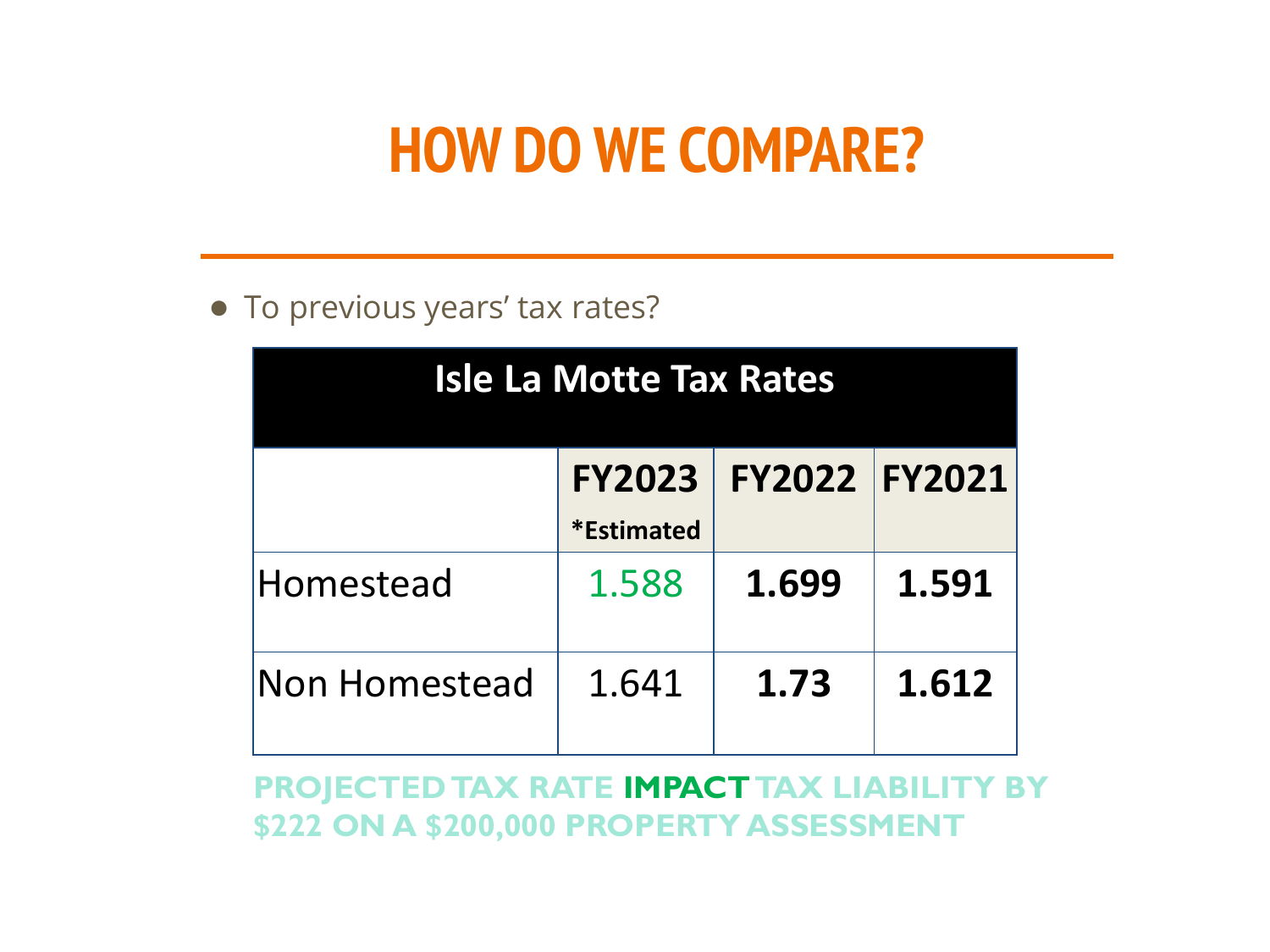# **HOW DO WE COMPARE?**

### ● To previous years' tax rates?

| <b>Isle La Motte Tax Rates</b>                       |       |       |       |  |  |
|------------------------------------------------------|-------|-------|-------|--|--|
| FY2022 FY2021<br><b>FY2023</b><br><i>*</i> Estimated |       |       |       |  |  |
| Homestead                                            | 1.588 | 1.699 | 1.591 |  |  |
| Non Homestead                                        | 1.641 | 1.73  | 1.612 |  |  |

**PROJECTED TAX RATE IMPACT TAX LIABILITY BY \$222 ON A \$200,000 PROPERTY ASSESSMENT**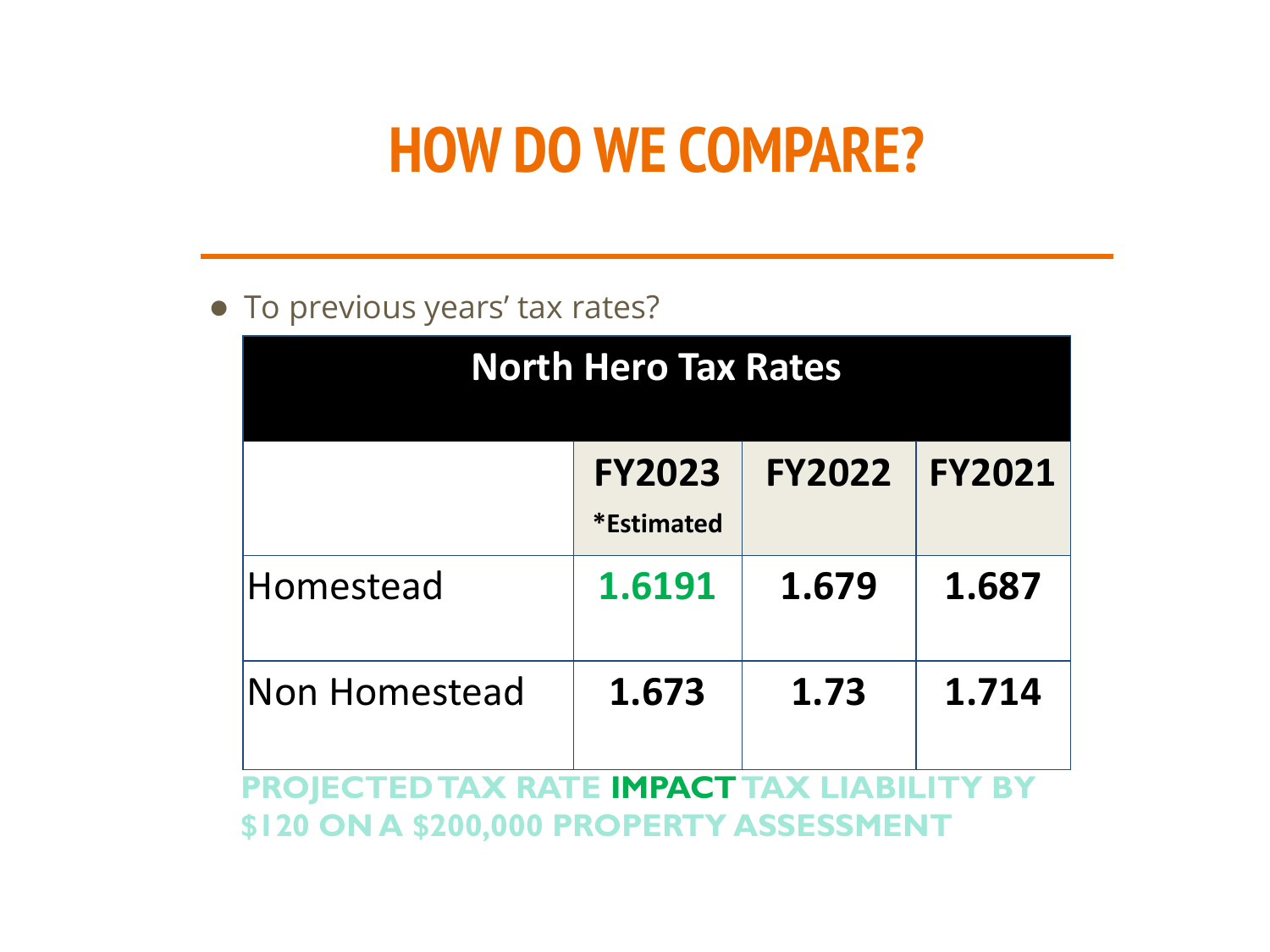# **HOW DO WE COMPARE?**

### ● To previous years' tax rates?

| <b>North Hero Tax Rates</b>                    |                                           |               |               |  |  |  |
|------------------------------------------------|-------------------------------------------|---------------|---------------|--|--|--|
|                                                | <b>FY2023</b><br><i><b>*Estimated</b></i> | <b>FY2022</b> | <b>FY2021</b> |  |  |  |
| Homestead                                      | 1.6191                                    | 1.679         | 1.687         |  |  |  |
| 1.714<br><b>Non Homestead</b><br>1.673<br>1.73 |                                           |               |               |  |  |  |
| CTED TAX RATE <b>IMPACT</b> TAX LIABILITY BY   |                                           |               |               |  |  |  |

**\$120 ON A \$200,000 PROPERTY ASSESSMENT**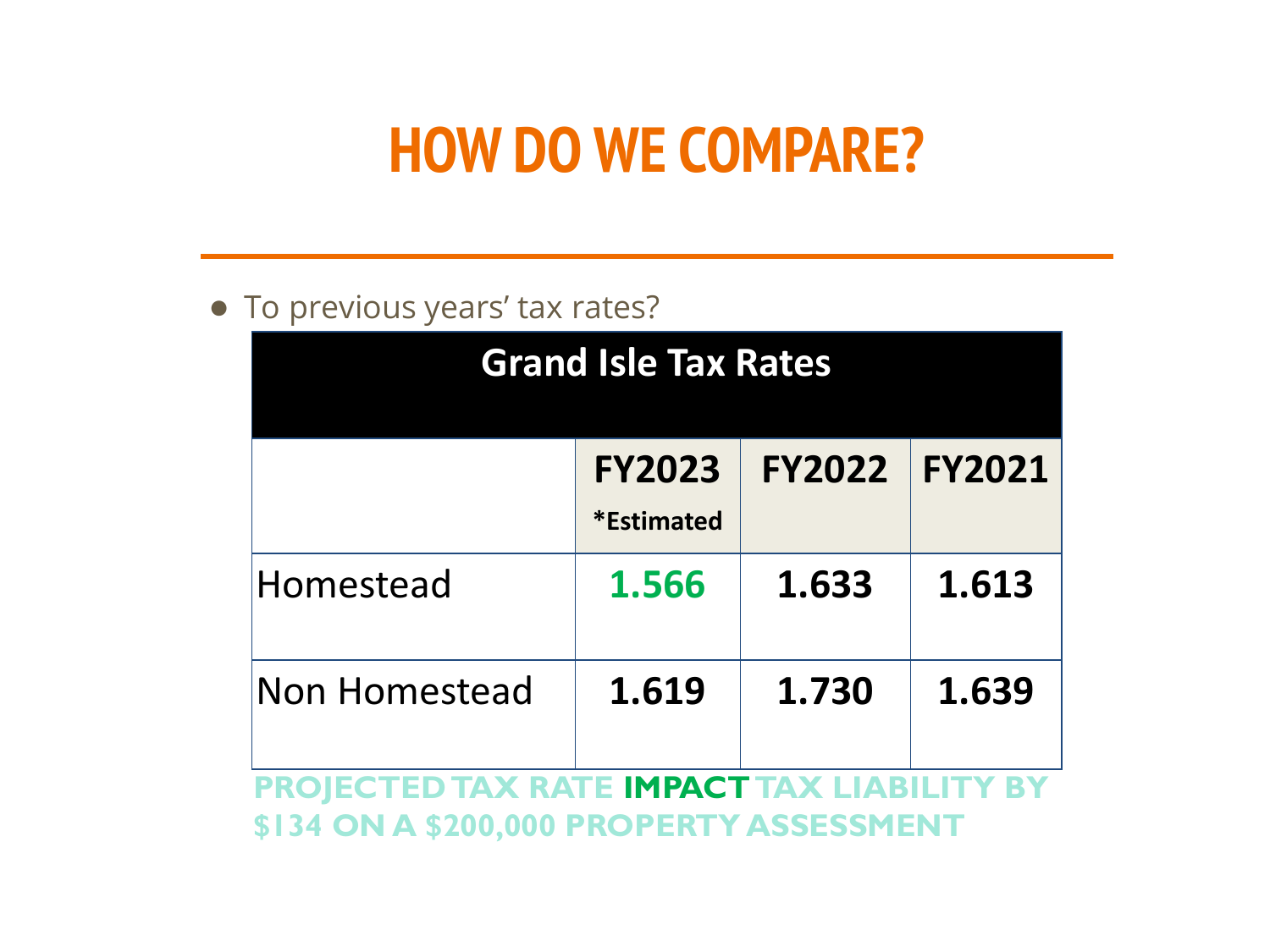# **HOW DO WE COMPARE?**

### ● To previous years' tax rates?

| <b>Grand Isle Tax Rates</b>                                                            |                                           |               |               |  |
|----------------------------------------------------------------------------------------|-------------------------------------------|---------------|---------------|--|
|                                                                                        | <b>FY2023</b><br><i><b>*Estimated</b></i> | <b>FY2022</b> | <b>FY2021</b> |  |
| Homestead                                                                              | 1.566                                     | 1.633         | 1.613         |  |
| <b>Non Homestead</b>                                                                   | 1.619                                     | 1.730         | 1.639         |  |
| PROJECTED TAX RATE IMPACT TAX LIABILITY BY<br>\$134 ON A \$200,000 PROPERTY ASSESSMENT |                                           |               |               |  |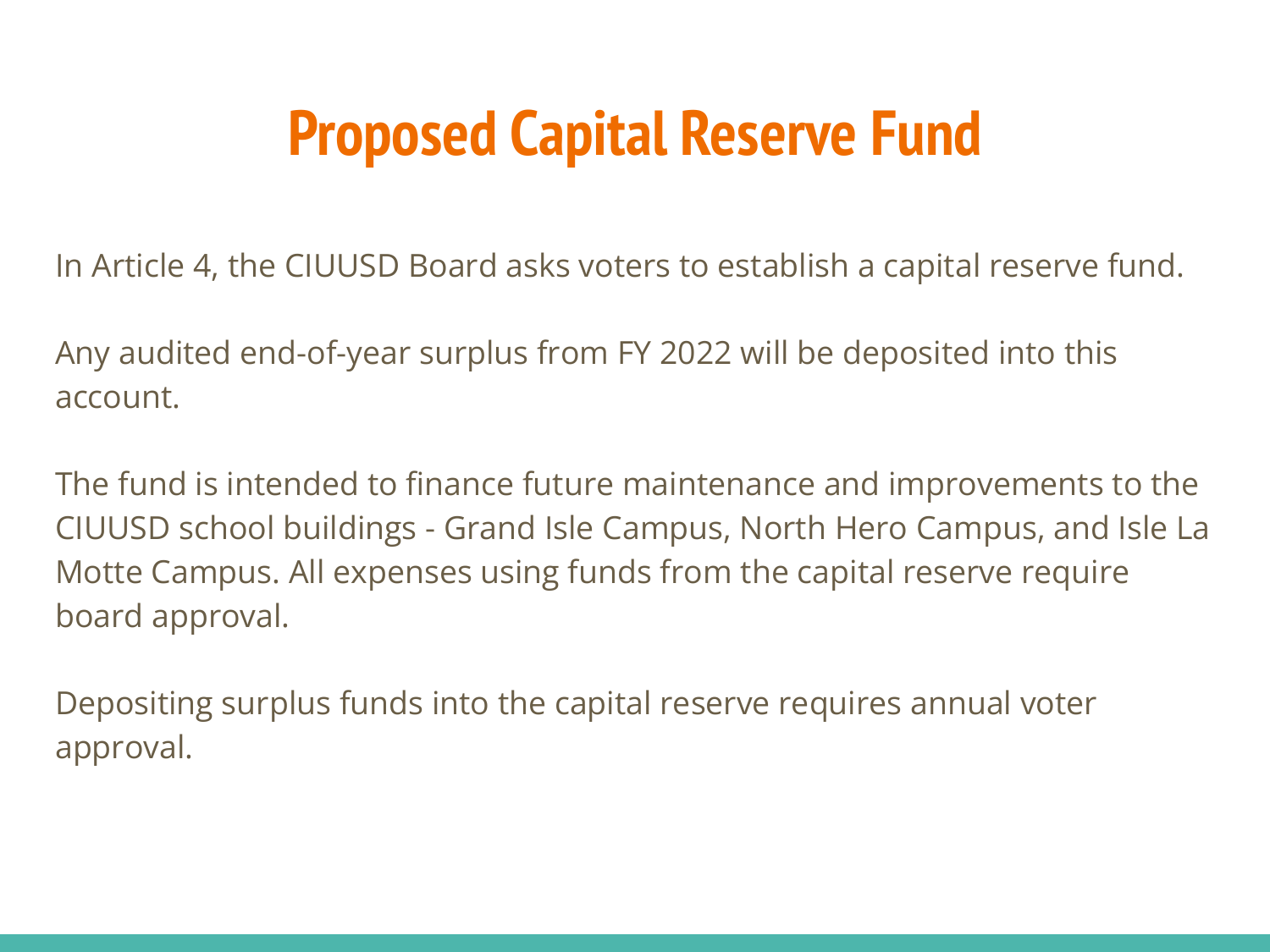# **Proposed Capital Reserve Fund**

In Article 4, the CIUUSD Board asks voters to establish a capital reserve fund.

Any audited end-of-year surplus from FY 2022 will be deposited into this account.

The fund is intended to finance future maintenance and improvements to the CIUUSD school buildings - Grand Isle Campus, North Hero Campus, and Isle La Motte Campus. All expenses using funds from the capital reserve require board approval.

Depositing surplus funds into the capital reserve requires annual voter approval.